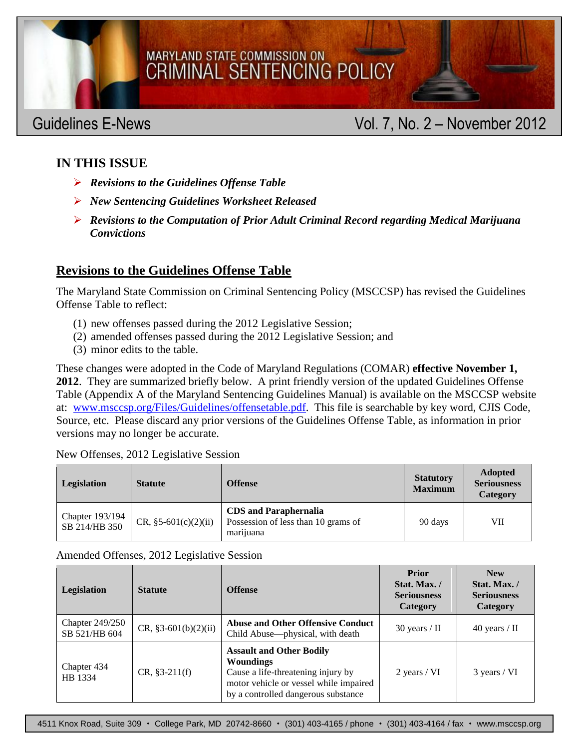# MSCCSP GUIDELINES E-NEWS VOIDELINES E-NEWS VOIDELINES E-NEWS VOIDELINES E-NEWS VOIDELINES E-NEWS VOIDELINES E-

## MARYLAND STATE COMMISSION ON **CRIMINAL SENTENCING POLICY**

# Guidelines E-News **Contract Contract Contract Contract Contract Contract Contract Contract Contract Contract Contract Contract Contract Contract Contract Contract Contract Contract Contract Contract Contract Contract Contr**

### **IN THIS ISSUE**

- *Revisions to the Guidelines Offense Table*
- *New Sentencing Guidelines Worksheet Released*
- *Revisions to the Computation of Prior Adult Criminal Record regarding Medical Marijuana Convictions*

#### **Revisions to the Guidelines Offense Table**

The Maryland State Commission on Criminal Sentencing Policy (MSCCSP) has revised the Guidelines Offense Table to reflect:

- (1) new offenses passed during the 2012 Legislative Session;
- (2) amended offenses passed during the 2012 Legislative Session; and
- (3) minor edits to the table.

These changes were adopted in the Code of Maryland Regulations (COMAR) **effective November 1, 2012**. They are summarized briefly below. A print friendly version of the updated Guidelines Offense Table (Appendix A of the Maryland Sentencing Guidelines Manual) is available on the MSCCSP website at: [www.msccsp.org/Files/Guidelines/offensetable.pdf.](http://www.msccsp.org/Files/Guidelines/offensetable.pdf) This file is searchable by key word, CJIS Code, Source, etc. Please discard any prior versions of the Guidelines Offense Table, as information in prior versions may no longer be accurate.

New Offenses, 2012 Legislative Session

| Legislation                      | <b>Statute</b>         | <b>Offense</b>                                                                   | <b>Statutory</b><br><b>Maximum</b> | <b>Adopted</b><br><b>Seriousness</b><br>Category |
|----------------------------------|------------------------|----------------------------------------------------------------------------------|------------------------------------|--------------------------------------------------|
| Chapter 193/194<br>SB 214/HB 350 | CR, $§5-601(c)(2)(ii)$ | <b>CDS</b> and Paraphernalia<br>Possession of less than 10 grams of<br>marijuana | 90 days                            | VІІ                                              |

Amended Offenses, 2012 Legislative Session

| Legislation                             | <b>Statute</b>         | <b>Offense</b>                                                                                                                                                             | <b>Prior</b><br>Stat. Max./<br><b>Seriousness</b><br><b>Category</b> | <b>New</b><br>Stat. Max. /<br><b>Seriousness</b><br><b>Category</b> |
|-----------------------------------------|------------------------|----------------------------------------------------------------------------------------------------------------------------------------------------------------------------|----------------------------------------------------------------------|---------------------------------------------------------------------|
| <b>Chapter 249/250</b><br>SB 521/HB 604 | $CR, §3-601(b)(2)(ii)$ | <b>Abuse and Other Offensive Conduct</b><br>Child Abuse—physical, with death                                                                                               | $30$ years / II                                                      | 40 years / $\text{II}$                                              |
| Chapter 434<br>HB 1334                  | $CR, §3-211(f)$        | <b>Assault and Other Bodily</b><br><b>Woundings</b><br>Cause a life-threatening injury by<br>motor vehicle or vessel while impaired<br>by a controlled dangerous substance | 2 years / VI                                                         | 3 years / VI                                                        |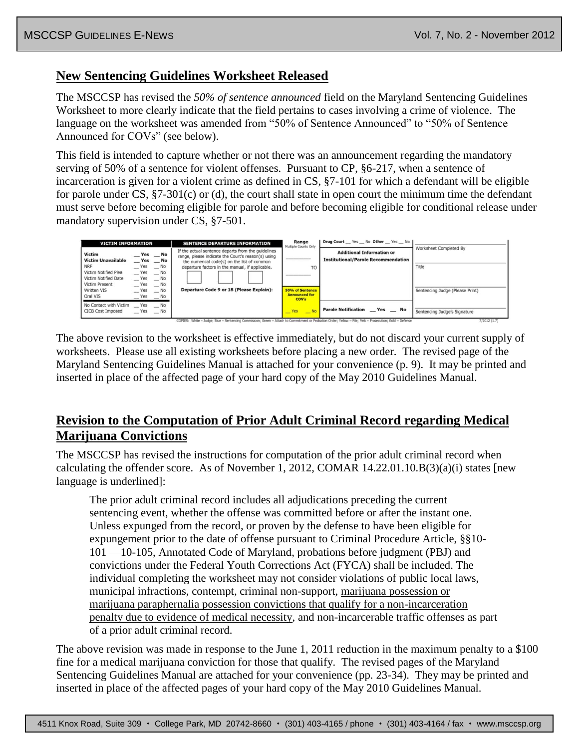#### **New Sentencing Guidelines Worksheet Released**

The MSCCSP has revised the *50% of sentence announced* field on the Maryland Sentencing Guidelines Worksheet to more clearly indicate that the field pertains to cases involving a crime of violence. The language on the worksheet was amended from "50% of Sentence Announced" to "50% of Sentence Announced for COVs" (see below).

This field is intended to capture whether or not there was an announcement regarding the mandatory serving of 50% of a sentence for violent offenses. Pursuant to CP, §6-217, when a sentence of incarceration is given for a violent crime as defined in CS, §7-101 for which a defendant will be eligible for parole under  $CS$ ,  $\S7-301(c)$  or (d), the court shall state in open court the minimum time the defendant must serve before becoming eligible for parole and before becoming eligible for conditional release under mandatory supervision under CS, §7-501.



The above revision to the worksheet is effective immediately, but do not discard your current supply of worksheets. Please use all existing worksheets before placing a new order. The revised page of the Maryland Sentencing Guidelines Manual is attached for your convenience (p. 9). It may be printed and inserted in place of the affected page of your hard copy of the May 2010 Guidelines Manual.

#### **Revision to the Computation of Prior Adult Criminal Record regarding Medical Marijuana Convictions**

The MSCCSP has revised the instructions for computation of the prior adult criminal record when calculating the offender score. As of November 1, 2012, COMAR 14.22.01.10.B(3)(a)(i) states [new language is underlined]:

The prior adult criminal record includes all adjudications preceding the current sentencing event, whether the offense was committed before or after the instant one. Unless expunged from the record, or proven by the defense to have been eligible for expungement prior to the date of offense pursuant to Criminal Procedure Article, §§10- 101 —10-105, Annotated Code of Maryland, probations before judgment (PBJ) and convictions under the Federal Youth Corrections Act (FYCA) shall be included. The individual completing the worksheet may not consider violations of public local laws, municipal infractions, contempt, criminal non-support, marijuana possession or marijuana paraphernalia possession convictions that qualify for a non-incarceration penalty due to evidence of medical necessity, and non-incarcerable traffic offenses as part of a prior adult criminal record.

The above revision was made in response to the June 1, 2011 reduction in the maximum penalty to a \$100 fine for a medical marijuana conviction for those that qualify. The revised pages of the Maryland Sentencing Guidelines Manual are attached for your convenience (pp. 23-34). They may be printed and inserted in place of the affected pages of your hard copy of the May 2010 Guidelines Manual.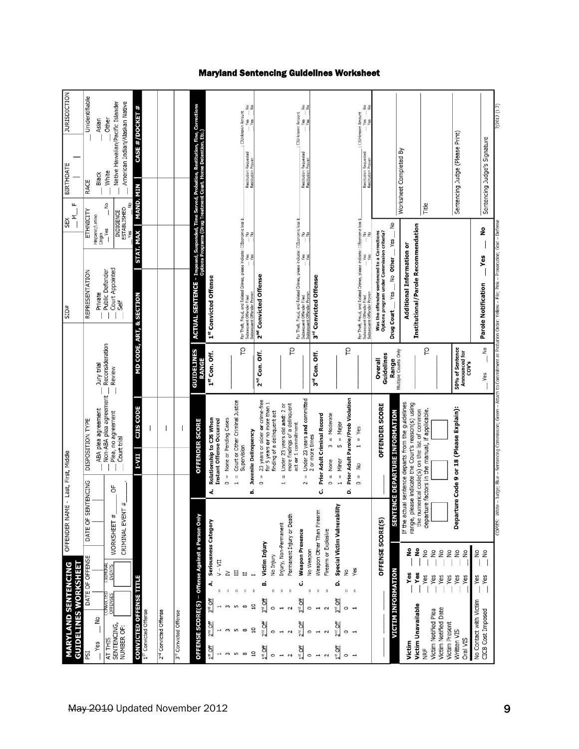| WORKSHEET #<br>DATE OF<br>DATE OF OFFENSE<br>Criminal<br>Events<br>CONVICTED<br>OFFENSES<br>$\frac{9}{2}$<br>SENTENCING,<br>AT THIS<br>Yes |                                                                                                                                                                                 |                                                                                                                                                         |                                           |                                                                                                                                                                    |                                                              |                                                                             |                                                                                    |
|--------------------------------------------------------------------------------------------------------------------------------------------|---------------------------------------------------------------------------------------------------------------------------------------------------------------------------------|---------------------------------------------------------------------------------------------------------------------------------------------------------|-------------------------------------------|--------------------------------------------------------------------------------------------------------------------------------------------------------------------|--------------------------------------------------------------|-----------------------------------------------------------------------------|------------------------------------------------------------------------------------|
|                                                                                                                                            | ENTENCING<br>m                                                                                                                                                                  | DISPOSITION TYPE                                                                                                                                        |                                           | REPRESENTATION                                                                                                                                                     | ETHNICITY                                                    | RACE                                                                        | Unidentifiable                                                                     |
|                                                                                                                                            |                                                                                                                                                                                 | ABA plea agreement                                                                                                                                      | Jury trial                                | Origin<br>Public Defender<br>Private                                                                                                                               | Hispanic/Latino                                              | Black                                                                       | Asian                                                                              |
| CRIMINAL EVENT<br>NUMBER OF:                                                                                                               | p<br>#                                                                                                                                                                          | Non-ABA plea agreement<br>Plea, no agreement<br>Court trial                                                                                             | Reconsideration<br>Review                 | Court Appointed<br>Self                                                                                                                                            | S<br>$\frac{1}{2}$<br>ESTABLISHED<br>INDIGENCE<br>Yes<br>lac | Native Hawaiian/Pacific Islander<br>American Indian/Alaskan Native<br>White | Other                                                                              |
| <b>CONVICTED OFFENSE TITLE</b>                                                                                                             |                                                                                                                                                                                 | <b>CJIS CODE</b><br>I-VII                                                                                                                               |                                           | STAT. MAX<br><b>MD CODE, ART, &amp; SECTION</b>                                                                                                                    | <b>MAND MIN</b>                                              |                                                                             | CASE #/DOCKET #                                                                    |
| 157 Convicted Offense                                                                                                                      |                                                                                                                                                                                 |                                                                                                                                                         |                                           |                                                                                                                                                                    |                                                              |                                                                             |                                                                                    |
| 2 <sup>nd</sup> Convicted Offense                                                                                                          |                                                                                                                                                                                 |                                                                                                                                                         |                                           |                                                                                                                                                                    |                                                              |                                                                             |                                                                                    |
| 3 <sup>rd</sup> Convicted Offense                                                                                                          |                                                                                                                                                                                 |                                                                                                                                                         |                                           |                                                                                                                                                                    |                                                              |                                                                             |                                                                                    |
| OFFENSE SCORE(S) - Offense Against a Person Only                                                                                           |                                                                                                                                                                                 | <b>OFFENDER SCORE</b>                                                                                                                                   | <b>GUIDELINES</b><br><b>RANGE</b>         | ACTUAL SENTENCE - Imposed, Suspended, Time Served, Probation, Restitution, Fine, Corrections<br>Options Programs (Oryginal Christment Court, Home Detention, Etc.) |                                                              |                                                                             |                                                                                    |
| Seriousness Category<br>$V - VI$<br>خ<br>3rd Off<br>$2^{nc}$ Off                                                                           | d.                                                                                                                                                                              | Relationship to CJS When<br>Instant Offense Occurred                                                                                                    | 1st Con. Off.                             | 1st Convicted Offense                                                                                                                                              |                                                              |                                                                             |                                                                                    |
| Σ                                                                                                                                          | $\circ$                                                                                                                                                                         | = None or Pending Cases                                                                                                                                 |                                           |                                                                                                                                                                    |                                                              |                                                                             |                                                                                    |
| E<br>Π<br>$\mathbf{II}$<br>LO.<br>$\infty$                                                                                                 | $\mathbf{H}% =\mathbf{H}^{T}\mathbf{v}^{T}\mathbf{v}^{T}\mathbf{v}^{T}+\mathbf{H}^{T}\mathbf{v}^{T}\mathbf{v}^{T}+\mathbf{H}^{T}\mathbf{v}^{T}\mathbf{v}^{T}$<br>$\overline{ }$ | Court or Other Criminal Justice<br>Supervision                                                                                                          | p                                         | For Theft, Fraud, and Related Crimes, please indicate: ⊡Economic loss \$.<br>Subsequent Offender Filed<br>Subsequent Offender Proven                               |                                                              | Restitution Requested<br>Restitution Proven                                 | $\frac{9}{10}$                                                                     |
| Victim Injury<br>ø<br>$3rd$ Off<br>™ Off                                                                                                   | $\mathbf{I}$<br>$\circ$<br>ø                                                                                                                                                    | 23 years or older or crime-free<br>for 5 years or no more than 1<br>Juvenile Delinquency                                                                | 2 <sup>nd</sup> Con. Off.                 | 2 <sup>nd</sup> Convicted Offense                                                                                                                                  |                                                              |                                                                             |                                                                                    |
| Injury, Non-Permanent<br>No Injury<br>$\mathbf{I}$                                                                                         | $\mathsf{II}%$                                                                                                                                                                  | Under 23 years old and: 2 or<br>finding of a delinquent act                                                                                             |                                           |                                                                                                                                                                    |                                                              |                                                                             |                                                                                    |
| Permanent Injury or Death<br><b>Weapon Presence</b><br>ت<br><b>PO</b><br>$\sum_{n=1}^{\infty}$                                             |                                                                                                                                                                                 | more findings of a delinquent<br>act or 1 commitment                                                                                                    | P                                         | For Theft, Fraud, and Related Crimes, please indicate: ⊡Economic loss \$_<br>Subsequent Offender Filed<br>Subsequent Offender Proven                               |                                                              |                                                                             | $\frac{1}{1}$ ; $\frac{1}{1}$ DUrknown Amount<br>$\frac{1}{1}$ Yes $\frac{1}{1}$ N |
| No Weapon<br>Ш                                                                                                                             | Ĥ<br>2                                                                                                                                                                          | Under 23 years and committed<br>2 or more times                                                                                                         | 3rd Con. Off.                             | 3rd Convicted Offense                                                                                                                                              |                                                              | Restitution Requested<br>Restitution Proven                                 | 22                                                                                 |
| Weapon Other Than Firearm<br>Firearm or Explosive<br>$\mathbf{u}$                                                                          | $\circ$<br>ت                                                                                                                                                                    | Prior Adult Criminal Record<br>$3 = Modelrate$<br>$=$ None                                                                                              |                                           |                                                                                                                                                                    |                                                              |                                                                             |                                                                                    |
| Special Victim Vulnerability<br>ە<br>3rd Off                                                                                               |                                                                                                                                                                                 | $5 =$ Major<br>$1 =$ Minor                                                                                                                              |                                           |                                                                                                                                                                    |                                                              |                                                                             |                                                                                    |
| Yes<br>$\frac{1}{2}$<br>$\mathsf{I}\mathsf{I}$                                                                                             | ó                                                                                                                                                                               | Prior Adult Parole/Prob Violation                                                                                                                       | p                                         |                                                                                                                                                                    |                                                              |                                                                             |                                                                                    |
|                                                                                                                                            | $\mathbf{u}$<br>$\circ$                                                                                                                                                         | $=$ Yes<br>$\mathbf{r}$<br>ş                                                                                                                            |                                           | For Theft, Fraud, and Related Crimes, please indicate: ⊡Economic loss \$.<br>Subsequent Offender Filed<br>Subsequent Offender Proven                               |                                                              | Restitution Requested<br>Restitution Poven<br>Restitution Proven            | $rac{9}{1}$                                                                        |
| <b>OFFENSE SCORE(S)</b>                                                                                                                    |                                                                                                                                                                                 | OFFENDER SCORE                                                                                                                                          | Guidelines<br>Overall                     | Was the offender sentenced to a Corrections<br>Options program under Commission criteria?                                                                          |                                                              |                                                                             |                                                                                    |
| <b>VICTIM INFORMATION</b>                                                                                                                  | <b>SEN</b>                                                                                                                                                                      | <b>TENCE DEPARTURE INFORMATION</b>                                                                                                                      | Multiple Counts Only<br>Range             | Yes.<br>No Other<br>Yes<br>Drug Court                                                                                                                              | g                                                            |                                                                             |                                                                                    |
| ş<br>۽<br>Yes<br>Yes<br>Victim Unavailable                                                                                                 |                                                                                                                                                                                 | If the actual sentence departs from the guidelines<br>range, please indicate the Court's reason(s) using<br>the numerical code(s) on the list of common |                                           | Institutional/Parole Recommendation<br>Additional Information or                                                                                                   |                                                              | Worksheet Completed By                                                      |                                                                                    |
| $\overline{\mathsf{S}}$<br>$\frac{1}{2}$<br>Yes<br>Yes<br>Victim Notified Plea                                                             |                                                                                                                                                                                 | departure factors in the manual, if applicable.                                                                                                         | S                                         |                                                                                                                                                                    | Title                                                        |                                                                             |                                                                                    |
| $\frac{1}{2}$<br>$\frac{1}{2}$<br>Yes<br>Yes<br>Victim Notified Date<br>Victim Present                                                     |                                                                                                                                                                                 |                                                                                                                                                         |                                           |                                                                                                                                                                    |                                                              |                                                                             |                                                                                    |
| $\frac{1}{2}$<br>$\frac{1}{2}$<br>Yes<br>Yes                                                                                               |                                                                                                                                                                                 | Departure Code 9 or 18 (Please Explain):                                                                                                                | 50% of Sentence<br>Announced for<br>COV's |                                                                                                                                                                    |                                                              | Sentencing Judge (Please Print)                                             |                                                                                    |
| 2o<br>$\frac{1}{2}$<br>Yes<br>Yes<br>No Contact with Victim<br>CICB Cost Imposed                                                           |                                                                                                                                                                                 |                                                                                                                                                         | $\frac{1}{2}$<br>Yes                      | Yes<br>Parole Notification                                                                                                                                         | å                                                            | Sentencing Judge's Signature                                                |                                                                                    |
| COPIES:                                                                                                                                    |                                                                                                                                                                                 | Green<br>hite - Judge; Blue - Sentencing Commission;                                                                                                    | to Comm                                   |                                                                                                                                                                    |                                                              |                                                                             | 7/2012 (1.7)                                                                       |

#### Maryland Sentencing Guidelines Worksheet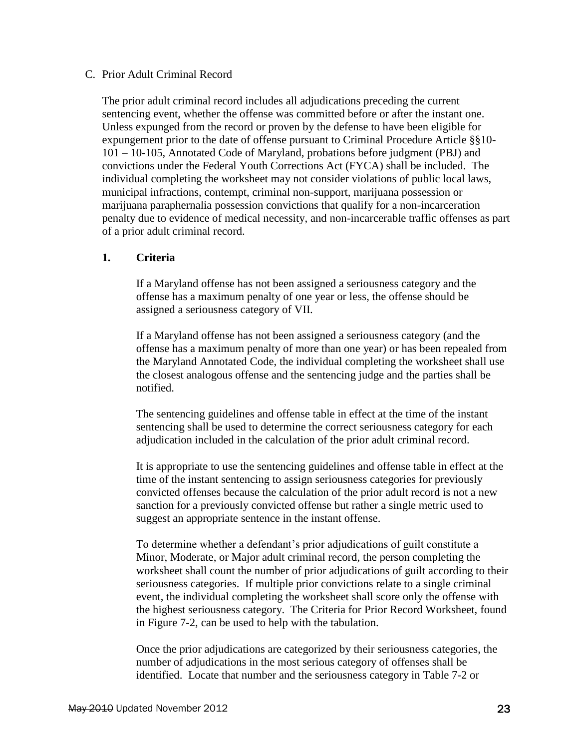#### C. Prior Adult Criminal Record

The prior adult criminal record includes all adjudications preceding the current sentencing event, whether the offense was committed before or after the instant one. Unless expunged from the record or proven by the defense to have been eligible for expungement prior to the date of offense pursuant to Criminal Procedure Article §§10- 101 – 10-105, Annotated Code of Maryland, probations before judgment (PBJ) and convictions under the Federal Youth Corrections Act (FYCA) shall be included. The individual completing the worksheet may not consider violations of public local laws, municipal infractions, contempt, criminal non-support, marijuana possession or marijuana paraphernalia possession convictions that qualify for a non-incarceration penalty due to evidence of medical necessity, and non-incarcerable traffic offenses as part of a prior adult criminal record.

#### **1. Criteria**

If a Maryland offense has not been assigned a seriousness category and the offense has a maximum penalty of one year or less, the offense should be assigned a seriousness category of VII.

If a Maryland offense has not been assigned a seriousness category (and the offense has a maximum penalty of more than one year) or has been repealed from the Maryland Annotated Code, the individual completing the worksheet shall use the closest analogous offense and the sentencing judge and the parties shall be notified.

The sentencing guidelines and offense table in effect at the time of the instant sentencing shall be used to determine the correct seriousness category for each adjudication included in the calculation of the prior adult criminal record.

It is appropriate to use the sentencing guidelines and offense table in effect at the time of the instant sentencing to assign seriousness categories for previously convicted offenses because the calculation of the prior adult record is not a new sanction for a previously convicted offense but rather a single metric used to suggest an appropriate sentence in the instant offense.

To determine whether a defendant's prior adjudications of guilt constitute a Minor, Moderate, or Major adult criminal record, the person completing the worksheet shall count the number of prior adjudications of guilt according to their seriousness categories. If multiple prior convictions relate to a single criminal event, the individual completing the worksheet shall score only the offense with the highest seriousness category. The Criteria for Prior Record Worksheet, found in Figure 7-2, can be used to help with the tabulation.

Once the prior adjudications are categorized by their seriousness categories, the number of adjudications in the most serious category of offenses shall be identified. Locate that number and the seriousness category in Table 7-2 or